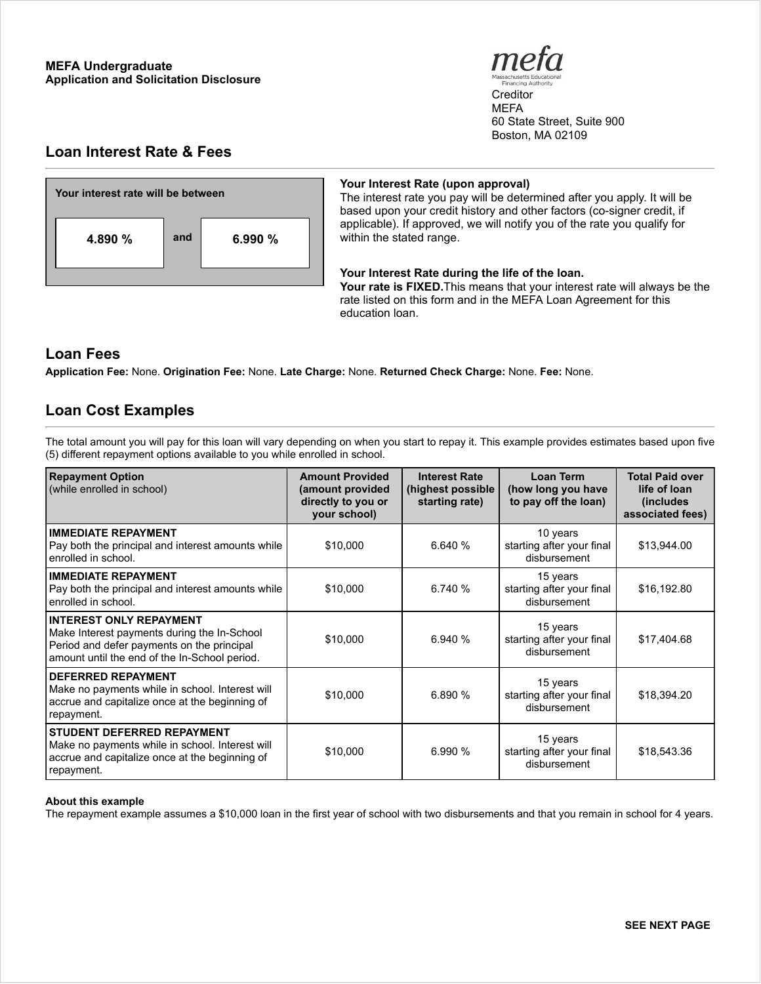

**Creditor** MEFA 60 State Street, Suite 900 Boston, MA 02109

# **Loan Interest Rate & Fees**



## **Your Interest Rate (upon approval)**

The interest rate you pay will be determined after you apply. It will be based upon your credit history and other factors (co-signer credit, if applicable). If approved, we will notify you of the rate you qualify for within the stated range.

### **Your Interest Rate during the life of the loan.**

**Your rate is FIXED.**This means that your interest rate will always be the rate listed on this form and in the MEFA Loan Agreement for this education loan.

## **Loan Fees**

**Application Fee:** None. **Origination Fee:** None. **Late Charge:** None. **Returned Check Charge:** None. **Fee:** None.

## **Loan Cost Examples**

The total amount you will pay for this loan will vary depending on when you start to repay it. This example provides estimates based upon five (5) different repayment options available to you while enrolled in school.

| <b>Repayment Option</b><br>(while enrolled in school)                                                                                                                        | <b>Amount Provided</b><br>(amount provided<br>directly to you or<br>your school) | <b>Interest Rate</b><br>(highest possible<br>starting rate) | Loan Term<br>(how long you have<br>to pay off the loan) | <b>Total Paid over</b><br>life of loan<br><i>(includes)</i><br>associated fees) |
|------------------------------------------------------------------------------------------------------------------------------------------------------------------------------|----------------------------------------------------------------------------------|-------------------------------------------------------------|---------------------------------------------------------|---------------------------------------------------------------------------------|
| <b>IMMEDIATE REPAYMENT</b><br>Pay both the principal and interest amounts while<br>enrolled in school.                                                                       | \$10,000                                                                         | 6.640%                                                      | 10 years<br>starting after your final<br>disbursement   | \$13,944.00                                                                     |
| <b>IMMEDIATE REPAYMENT</b><br>Pay both the principal and interest amounts while<br>enrolled in school.                                                                       | \$10,000                                                                         | 6.740%                                                      | 15 years<br>starting after your final<br>disbursement   | \$16,192.80                                                                     |
| <b>INTEREST ONLY REPAYMENT</b><br>Make Interest payments during the In-School<br>Period and defer payments on the principal<br>amount until the end of the In-School period. | \$10,000                                                                         | 6.940 %                                                     | 15 years<br>starting after your final<br>disbursement   | \$17,404.68                                                                     |
| <b>DEFERRED REPAYMENT</b><br>Make no payments while in school. Interest will<br>accrue and capitalize once at the beginning of<br>repayment.                                 | \$10,000                                                                         | 6.890%                                                      | 15 years<br>starting after your final<br>disbursement   | \$18,394.20                                                                     |
| <b>STUDENT DEFERRED REPAYMENT</b><br>Make no payments while in school. Interest will<br>accrue and capitalize once at the beginning of<br>repayment.                         | \$10,000                                                                         | 6.990%                                                      | 15 years<br>starting after your final<br>disbursement   | \$18,543.36                                                                     |

#### **About this example**

The repayment example assumes a \$10,000 loan in the first year of school with two disbursements and that you remain in school for 4 years.